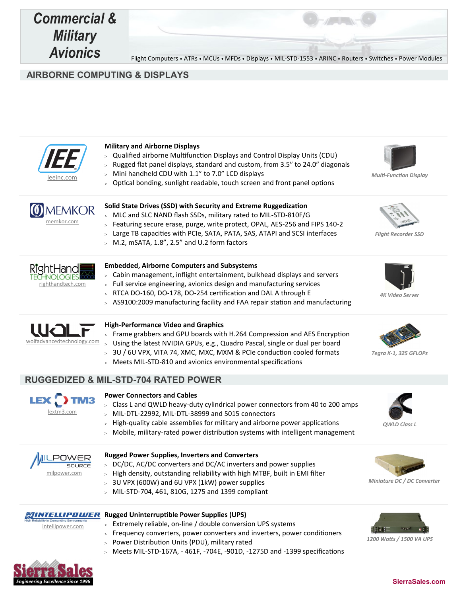

**AIRBORNE COMPUTING & DISPLAYS**